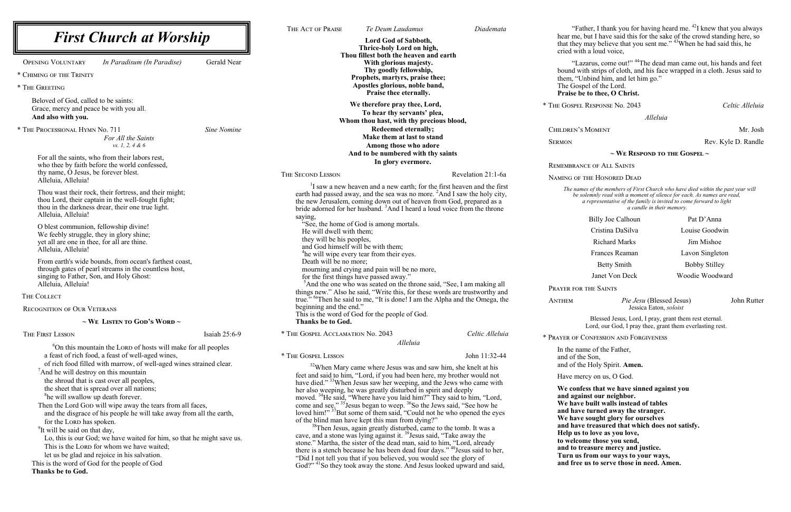*Pie Jesu* (Blessed Jesus) John Rutter Jessica Eaton, *soloist*

**We confess that we have sinned against you** ainst our neighbor. **We have built walls instead of tables allet vieters areased away the stranger. We have sought glory for ourselves and have treasured that which does not satisfy. IS to love as you love,** to those you send, treasure mercy and justice. **Turn us from our ways to your ways,** ee us to serve those in need. Amen.

|                                                                                                                                                                                                                                                                                                                                                                                                                                                                                                                                                                                                                                                                                                                                                                                                                                                               |                    | THE ACT OF PRAISE                                                                                                                                                                                                                                                                                                                                                                                                                                                                                                                                                                                                                                                                                                                                                                                                                                                                                                                                                                                                                                                                                                                                               | Te Deum Laudamus                                                                                                                       | Diademata          | $\mathbf{F}$                                                                                                                                                 |
|---------------------------------------------------------------------------------------------------------------------------------------------------------------------------------------------------------------------------------------------------------------------------------------------------------------------------------------------------------------------------------------------------------------------------------------------------------------------------------------------------------------------------------------------------------------------------------------------------------------------------------------------------------------------------------------------------------------------------------------------------------------------------------------------------------------------------------------------------------------|--------------------|-----------------------------------------------------------------------------------------------------------------------------------------------------------------------------------------------------------------------------------------------------------------------------------------------------------------------------------------------------------------------------------------------------------------------------------------------------------------------------------------------------------------------------------------------------------------------------------------------------------------------------------------------------------------------------------------------------------------------------------------------------------------------------------------------------------------------------------------------------------------------------------------------------------------------------------------------------------------------------------------------------------------------------------------------------------------------------------------------------------------------------------------------------------------|----------------------------------------------------------------------------------------------------------------------------------------|--------------------|--------------------------------------------------------------------------------------------------------------------------------------------------------------|
| <b>First Church at Worship</b>                                                                                                                                                                                                                                                                                                                                                                                                                                                                                                                                                                                                                                                                                                                                                                                                                                |                    | Lord God of Sabboth,<br>Thrice-holy Lord on high,                                                                                                                                                                                                                                                                                                                                                                                                                                                                                                                                                                                                                                                                                                                                                                                                                                                                                                                                                                                                                                                                                                               |                                                                                                                                        |                    | hear me<br>that the<br>cried w                                                                                                                               |
| <b>OPENING VOLUNTARY</b><br>In Paradisum (In Paradise)                                                                                                                                                                                                                                                                                                                                                                                                                                                                                                                                                                                                                                                                                                                                                                                                        | <b>Gerald Near</b> |                                                                                                                                                                                                                                                                                                                                                                                                                                                                                                                                                                                                                                                                                                                                                                                                                                                                                                                                                                                                                                                                                                                                                                 | Thou fillest both the heaven and earth<br>With glorious majesty.                                                                       |                    | $\lq\lq$                                                                                                                                                     |
| * CHIMING OF THE TRINITY                                                                                                                                                                                                                                                                                                                                                                                                                                                                                                                                                                                                                                                                                                                                                                                                                                      |                    |                                                                                                                                                                                                                                                                                                                                                                                                                                                                                                                                                                                                                                                                                                                                                                                                                                                                                                                                                                                                                                                                                                                                                                 | Thy goodly fellowship,                                                                                                                 |                    | bound v                                                                                                                                                      |
| * THE GREETING                                                                                                                                                                                                                                                                                                                                                                                                                                                                                                                                                                                                                                                                                                                                                                                                                                                |                    |                                                                                                                                                                                                                                                                                                                                                                                                                                                                                                                                                                                                                                                                                                                                                                                                                                                                                                                                                                                                                                                                                                                                                                 | Prophets, martyrs, praise thee;<br>Apostles glorious, noble band,<br>Praise thee eternally.                                            |                    | them, "<br>The Go<br>Praise                                                                                                                                  |
| Beloved of God, called to be saints:<br>Grace, mercy and peace be with you all.<br>And also with you.                                                                                                                                                                                                                                                                                                                                                                                                                                                                                                                                                                                                                                                                                                                                                         |                    |                                                                                                                                                                                                                                                                                                                                                                                                                                                                                                                                                                                                                                                                                                                                                                                                                                                                                                                                                                                                                                                                                                                                                                 | We therefore pray thee, Lord,<br>To hear thy servants' plea,<br>Whom thou hast, with thy precious blood,                               |                    | * THE GOSPE                                                                                                                                                  |
| * THE PROCESSIONAL HYMN No. 711<br>For All the Saints<br>vs. 1, 2, 4 & 6                                                                                                                                                                                                                                                                                                                                                                                                                                                                                                                                                                                                                                                                                                                                                                                      | Sine Nomine        |                                                                                                                                                                                                                                                                                                                                                                                                                                                                                                                                                                                                                                                                                                                                                                                                                                                                                                                                                                                                                                                                                                                                                                 | <b>Redeemed eternally;</b><br>Make them at last to stand<br>Among those who adore<br>And to be numbered with thy saints                |                    | CHILDREN <sup>®</sup><br><b>SERMON</b>                                                                                                                       |
| For all the saints, who from their labors rest,<br>who thee by faith before the world confessed,                                                                                                                                                                                                                                                                                                                                                                                                                                                                                                                                                                                                                                                                                                                                                              |                    |                                                                                                                                                                                                                                                                                                                                                                                                                                                                                                                                                                                                                                                                                                                                                                                                                                                                                                                                                                                                                                                                                                                                                                 | In glory evermore.                                                                                                                     |                    | REMEMBRA                                                                                                                                                     |
| thy name, O Jesus, be forever blest.                                                                                                                                                                                                                                                                                                                                                                                                                                                                                                                                                                                                                                                                                                                                                                                                                          |                    | THE SECOND LESSON                                                                                                                                                                                                                                                                                                                                                                                                                                                                                                                                                                                                                                                                                                                                                                                                                                                                                                                                                                                                                                                                                                                                               |                                                                                                                                        | Revelation 21:1-6a | NAMING OI                                                                                                                                                    |
| Alleluia, Alleluia!<br>Thou wast their rock, their fortress, and their might;<br>thou Lord, their captain in the well-fought fight;<br>thou in the darkness drear, their one true light.<br>Alleluia, Alleluia!                                                                                                                                                                                                                                                                                                                                                                                                                                                                                                                                                                                                                                               |                    | <sup>1</sup> I saw a new heaven and a new earth; for the first heaven and the first<br>earth had passed away, and the sea was no more. <sup>2</sup> And I saw the holy city,<br>the new Jerusalem, coming down out of heaven from God, prepared as a<br>bride adorned for her husband. <sup>3</sup> And I heard a loud voice from the throne<br>saying,                                                                                                                                                                                                                                                                                                                                                                                                                                                                                                                                                                                                                                                                                                                                                                                                         |                                                                                                                                        |                    | The na<br>be                                                                                                                                                 |
| O blest communion, fellowship divine!<br>We feebly struggle, they in glory shine;<br>yet all are one in thee, for all are thine.<br>Alleluia, Alleluia!<br>From earth's wide bounds, from ocean's farthest coast,<br>through gates of pearl streams in the countless host,<br>singing to Father, Son, and Holy Ghost:<br>Alleluia, Alleluia!                                                                                                                                                                                                                                                                                                                                                                                                                                                                                                                  |                    | He will dwell with them;<br>they will be his peoples,                                                                                                                                                                                                                                                                                                                                                                                                                                                                                                                                                                                                                                                                                                                                                                                                                                                                                                                                                                                                                                                                                                           | "See, the home of God is among mortals.<br>and God himself will be with them;<br><sup>4</sup> he will wipe every tear from their eyes. |                    |                                                                                                                                                              |
|                                                                                                                                                                                                                                                                                                                                                                                                                                                                                                                                                                                                                                                                                                                                                                                                                                                               |                    | Death will be no more;<br>mourning and crying and pain will be no more,<br>for the first things have passed away."<br><sup>5</sup> And the one who was seated on the throne said, "See, I am making all<br>things new." Also he said, "Write this, for these words are trustworthy and                                                                                                                                                                                                                                                                                                                                                                                                                                                                                                                                                                                                                                                                                                                                                                                                                                                                          |                                                                                                                                        |                    | PRAYER FO                                                                                                                                                    |
| THE COLLECT                                                                                                                                                                                                                                                                                                                                                                                                                                                                                                                                                                                                                                                                                                                                                                                                                                                   |                    |                                                                                                                                                                                                                                                                                                                                                                                                                                                                                                                                                                                                                                                                                                                                                                                                                                                                                                                                                                                                                                                                                                                                                                 | true." <sup>6a</sup> Then he said to me, "It is done! I am the Alpha and the Omega, the                                                |                    | <b>ANTHEM</b>                                                                                                                                                |
| <b>RECOGNITION OF OUR VETERANS</b><br>$\sim$ We Listen to God's Word $\sim$                                                                                                                                                                                                                                                                                                                                                                                                                                                                                                                                                                                                                                                                                                                                                                                   |                    | beginning and the end."<br>This is the word of God for the people of God.<br>Thanks be to God.                                                                                                                                                                                                                                                                                                                                                                                                                                                                                                                                                                                                                                                                                                                                                                                                                                                                                                                                                                                                                                                                  |                                                                                                                                        |                    |                                                                                                                                                              |
|                                                                                                                                                                                                                                                                                                                                                                                                                                                                                                                                                                                                                                                                                                                                                                                                                                                               |                    |                                                                                                                                                                                                                                                                                                                                                                                                                                                                                                                                                                                                                                                                                                                                                                                                                                                                                                                                                                                                                                                                                                                                                                 |                                                                                                                                        |                    |                                                                                                                                                              |
| <sup>6</sup> On this mountain the LORD of hosts will make for all peoples<br>a feast of rich food, a feast of well-aged wines,<br>of rich food filled with marrow, of well-aged wines strained clear.<br>And he will destroy on this mountain<br>the shroud that is cast over all peoples,<br>the sheet that is spread over all nations;<br><sup>8</sup> he will swallow up death forever.<br>Then the Lord GoD will wipe away the tears from all faces,<br>and the disgrace of his people he will take away from all the earth,<br>for the LORD has spoken.<br><sup>9</sup> It will be said on that day,<br>Lo, this is our God; we have waited for him, so that he might save us.<br>This is the LORD for whom we have waited;<br>let us be glad and rejoice in his salvation.<br>This is the word of God for the people of God<br><b>Thanks be to God.</b> |                    | * THE GOSPEL LESSON<br>John 11:32-44<br><sup>32</sup> When Mary came where Jesus was and saw him, she knelt at his<br>feet and said to him, "Lord, if you had been here, my brother would not<br>have died." <sup>33</sup> When Jesus saw her weeping, and the Jews who came with<br>her also weeping, he was greatly disturbed in spirit and deeply<br>moved. <sup>34</sup> He said, "Where have you laid him?" They said to him, "Lord,<br>come and see." $35$ Jesus began to weep. $36$ So the Jews said, "See how he loved him!" $37$ But some of them said, "Could not he who opened the eyes<br>of the blind man have kept this man from dying?"<br><sup>38</sup> Then Jesus, again greatly disturbed, came to the tomb. It was a<br>cave, and a stone was lying against it. <sup>39</sup> Jesus said, "Take away the<br>stone." Martha, the sister of the dead man, said to him, "Lord, already<br>there is a stench because he has been dead four days." <sup>40</sup> Jesus said to her,<br>"Did I not tell you that if you believed, you would see the glory of<br>God?" <sup>41</sup> So they took away the stone. And Jesus looked upward and said, |                                                                                                                                        |                    | In the n<br>and of t<br>and of t<br>Have m<br>We con<br>and ag:<br>We hav<br>and ha<br>We hav<br>and ha<br>Help us<br>to welc<br>and to<br>Turn u<br>and fre |
|                                                                                                                                                                                                                                                                                                                                                                                                                                                                                                                                                                                                                                                                                                                                                                                                                                                               |                    |                                                                                                                                                                                                                                                                                                                                                                                                                                                                                                                                                                                                                                                                                                                                                                                                                                                                                                                                                                                                                                                                                                                                                                 |                                                                                                                                        |                    |                                                                                                                                                              |

"Father, I thank you for having heard me.<sup>42</sup>I knew that you always e, but I have said this for the sake of the crowd standing here, so that they may believe that you sent me." <sup>43</sup>When he had said this, he  $\ddot{\text{a}}$  ith a loud voice,

"Lazarus, come out!" <sup>44</sup>The dead man came out, his hands and feet bound with strips of cloth, and his face wrapped in a cloth. Jesus said to 'Unbind him, and let him go." ospel of the Lord.

#### be to thee, O Christ.

\* The Gospel Response No. 2043 *Celtic Alleluia*

*Alleluia*

Children's Moment Mr. Josh

Rev. Kyle D. Randle

### **~ We Respond to the Gospel ~**

ANCE OF ALL SAINTS

### NF THE HONORED DEAD

*The names of the members of First Church who have died within the past year will be solemnly read with a moment of silence for each. As names are read, a representative of the family is invited to come forward to light a candle in their memory.*

Blessed Jesus, Lord, I pray, grant them rest eternal. Lord, our God, I pray thee, grant them everlasting rest.

CONFESSION AND FORGIVENESS

name of the Father, the Son, the Holy Spirit. **Amen.** 

nercy on us, O God.

| Billy Joe Calhoun  | Pat D'Anna           |  |  |
|--------------------|----------------------|--|--|
| Cristina DaSilva   | Louise Goodwin       |  |  |
| Richard Marks      | Jim Mishoe           |  |  |
| Frances Reaman     | Lavon Singleton      |  |  |
| <b>Betty Smith</b> | <b>Bobby Stilley</b> |  |  |
| Janet Von Deck     | Woodie Woodward      |  |  |

DR THE SAINTS